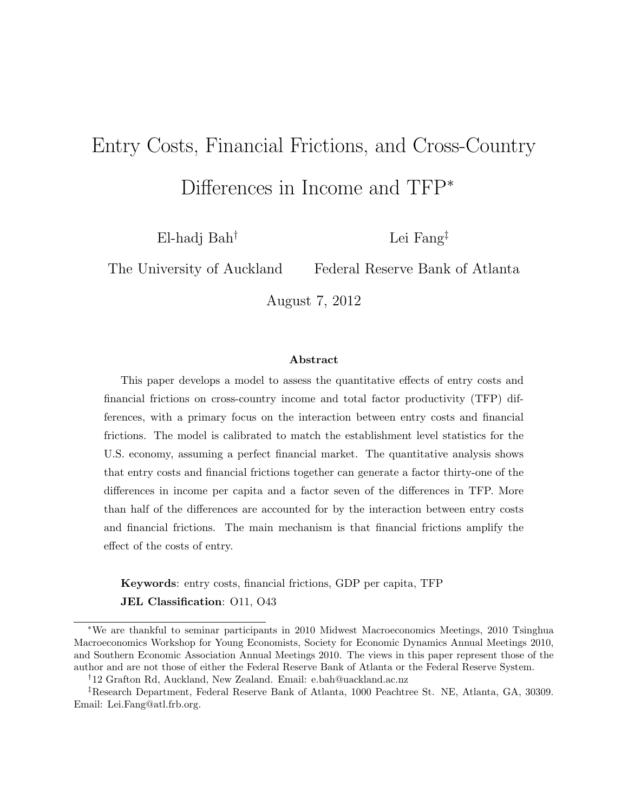# Entry Costs, Financial Frictions, and Cross-Country Differences in Income and TFP<sup>∗</sup>

El-hadj Bah†

Lei Fang‡

The University of Auckland

Federal Reserve Bank of Atlanta

August 7, 2012

#### Abstract

This paper develops a model to assess the quantitative effects of entry costs and financial frictions on cross-country income and total factor productivity (TFP) differences, with a primary focus on the interaction between entry costs and financial frictions. The model is calibrated to match the establishment level statistics for the U.S. economy, assuming a perfect financial market. The quantitative analysis shows that entry costs and financial frictions together can generate a factor thirty-one of the differences in income per capita and a factor seven of the differences in TFP. More than half of the differences are accounted for by the interaction between entry costs and financial frictions. The main mechanism is that financial frictions amplify the effect of the costs of entry.

Keywords: entry costs, financial frictions, GDP per capita, TFP JEL Classification: O11, O43

<sup>∗</sup>We are thankful to seminar participants in 2010 Midwest Macroeconomics Meetings, 2010 Tsinghua Macroeconomics Workshop for Young Economists, Society for Economic Dynamics Annual Meetings 2010, and Southern Economic Association Annual Meetings 2010. The views in this paper represent those of the author and are not those of either the Federal Reserve Bank of Atlanta or the Federal Reserve System.

<sup>†</sup>12 Grafton Rd, Auckland, New Zealand. Email: e.bah@uackland.ac.nz

<sup>‡</sup>Research Department, Federal Reserve Bank of Atlanta, 1000 Peachtree St. NE, Atlanta, GA, 30309. Email: Lei.Fang@atl.frb.org.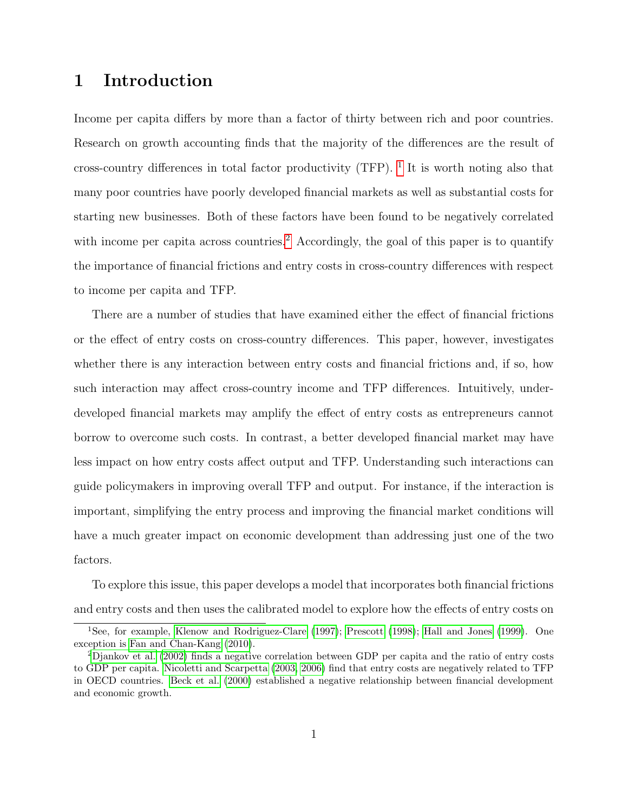# 1 Introduction

Income per capita differs by more than a factor of thirty between rich and poor countries. Research on growth accounting finds that the majority of the differences are the result of cross-country differences in total factor productivity (TFP).  $^1$  $^1$  It is worth noting also that many poor countries have poorly developed financial markets as well as substantial costs for starting new businesses. Both of these factors have been found to be negatively correlated with income per capita across countries.<sup>[2](#page-1-1)</sup> Accordingly, the goal of this paper is to quantify the importance of financial frictions and entry costs in cross-country differences with respect to income per capita and TFP.

There are a number of studies that have examined either the effect of financial frictions or the effect of entry costs on cross-country differences. This paper, however, investigates whether there is any interaction between entry costs and financial frictions and, if so, how such interaction may affect cross-country income and TFP differences. Intuitively, underdeveloped financial markets may amplify the effect of entry costs as entrepreneurs cannot borrow to overcome such costs. In contrast, a better developed financial market may have less impact on how entry costs affect output and TFP. Understanding such interactions can guide policymakers in improving overall TFP and output. For instance, if the interaction is important, simplifying the entry process and improving the financial market conditions will have a much greater impact on economic development than addressing just one of the two factors.

To explore this issue, this paper develops a model that incorporates both financial frictions and entry costs and then uses the calibrated model to explore how the effects of entry costs on

<span id="page-1-0"></span><sup>&</sup>lt;sup>1</sup>See, for example, [Klenow and Rodriguez-Clare](#page-26-0) [\(1997\)](#page-26-0); [Prescott](#page-27-0) [\(1998\)](#page-27-0); [Hall and Jones](#page-26-1) [\(1999\)](#page-26-1). One exception is [Fan and Chan-Kang](#page-25-0) [\(2010\)](#page-25-0).

<span id="page-1-1"></span><sup>2</sup>[Djankov et al.](#page-25-1) [\(2002\)](#page-25-1) finds a negative correlation between GDP per capita and the ratio of entry costs to GDP per capita. [Nicoletti and Scarpetta](#page-27-1) [\(2003,](#page-27-1) [2006\)](#page-27-2) find that entry costs are negatively related to TFP in OECD countries. [Beck et al.](#page-25-2) [\(2000\)](#page-25-2) established a negative relationship between financial development and economic growth.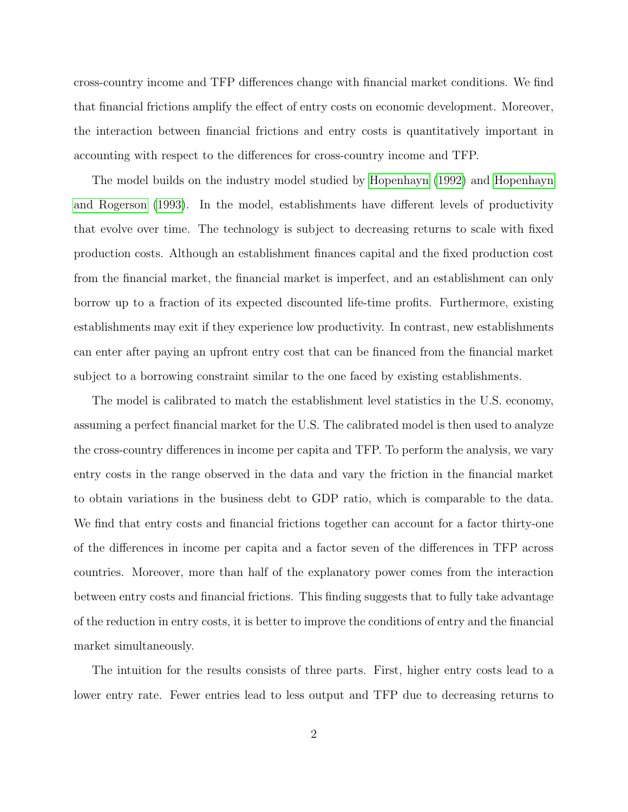cross-country income and TFP differences change with financial market conditions. We find that financial frictions amplify the effect of entry costs on economic development. Moreover, the interaction between financial frictions and entry costs is quantitatively important in accounting with respect to the differences for cross-country income and TFP.

The model builds on the industry model studied by [Hopenhayn](#page-26-2) [\(1992\)](#page-26-2) and [Hopenhayn](#page-26-3) [and Rogerson](#page-26-3) [\(1993\)](#page-26-3). In the model, establishments have different levels of productivity that evolve over time. The technology is subject to decreasing returns to scale with fixed production costs. Although an establishment finances capital and the fixed production cost from the financial market, the financial market is imperfect, and an establishment can only borrow up to a fraction of its expected discounted life-time profits. Furthermore, existing establishments may exit if they experience low productivity. In contrast, new establishments can enter after paying an upfront entry cost that can be financed from the financial market subject to a borrowing constraint similar to the one faced by existing establishments.

The model is calibrated to match the establishment level statistics in the U.S. economy, assuming a perfect financial market for the U.S. The calibrated model is then used to analyze the cross-country differences in income per capita and TFP. To perform the analysis, we vary entry costs in the range observed in the data and vary the friction in the financial market to obtain variations in the business debt to GDP ratio, which is comparable to the data. We find that entry costs and financial frictions together can account for a factor thirty-one of the differences in income per capita and a factor seven of the differences in TFP across countries. Moreover, more than half of the explanatory power comes from the interaction between entry costs and financial frictions. This finding suggests that to fully take advantage of the reduction in entry costs, it is better to improve the conditions of entry and the financial market simultaneously.

The intuition for the results consists of three parts. First, higher entry costs lead to a lower entry rate. Fewer entries lead to less output and TFP due to decreasing returns to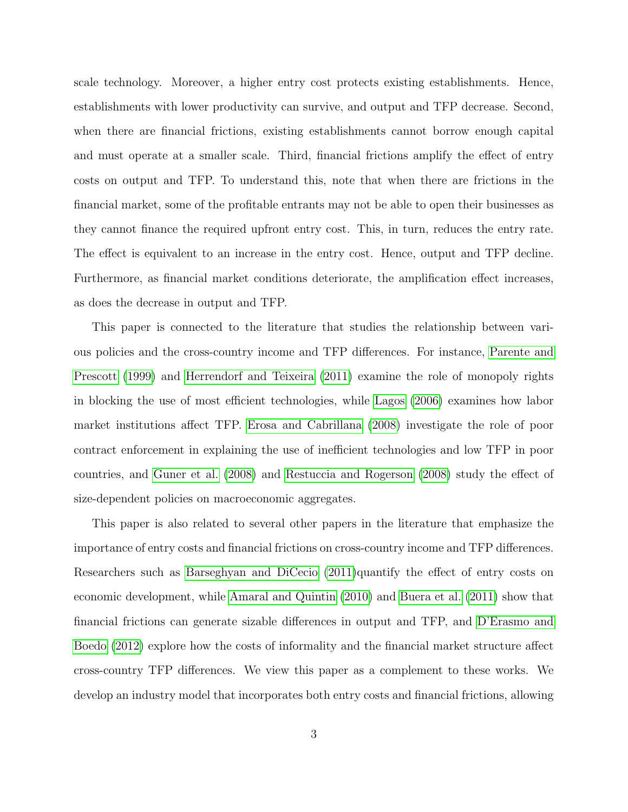scale technology. Moreover, a higher entry cost protects existing establishments. Hence, establishments with lower productivity can survive, and output and TFP decrease. Second, when there are financial frictions, existing establishments cannot borrow enough capital and must operate at a smaller scale. Third, financial frictions amplify the effect of entry costs on output and TFP. To understand this, note that when there are frictions in the financial market, some of the profitable entrants may not be able to open their businesses as they cannot finance the required upfront entry cost. This, in turn, reduces the entry rate. The effect is equivalent to an increase in the entry cost. Hence, output and TFP decline. Furthermore, as financial market conditions deteriorate, the amplification effect increases, as does the decrease in output and TFP.

This paper is connected to the literature that studies the relationship between various policies and the cross-country income and TFP differences. For instance, [Parente and](#page-27-3) [Prescott](#page-27-3) [\(1999\)](#page-27-3) and [Herrendorf and Teixeira](#page-26-4) [\(2011\)](#page-26-4) examine the role of monopoly rights in blocking the use of most efficient technologies, while [Lagos](#page-26-5) [\(2006\)](#page-26-5) examines how labor market institutions affect TFP. [Erosa and Cabrillana](#page-25-3) [\(2008\)](#page-25-3) investigate the role of poor contract enforcement in explaining the use of inefficient technologies and low TFP in poor countries, and [Guner et al.](#page-26-6) [\(2008\)](#page-26-6) and [Restuccia and Rogerson](#page-27-4) [\(2008\)](#page-27-4) study the effect of size-dependent policies on macroeconomic aggregates.

This paper is also related to several other papers in the literature that emphasize the importance of entry costs and financial frictions on cross-country income and TFP differences. Researchers such as [Barseghyan and DiCecio](#page-25-4) [\(2011\)](#page-25-4)quantify the effect of entry costs on economic development, while [Amaral and Quintin](#page-25-5) [\(2010\)](#page-25-5) and [Buera et al.](#page-25-6) [\(2011\)](#page-25-6) show that financial frictions can generate sizable differences in output and TFP, and [D'Erasmo and](#page-25-7) [Boedo](#page-25-7) [\(2012\)](#page-25-7) explore how the costs of informality and the financial market structure affect cross-country TFP differences. We view this paper as a complement to these works. We develop an industry model that incorporates both entry costs and financial frictions, allowing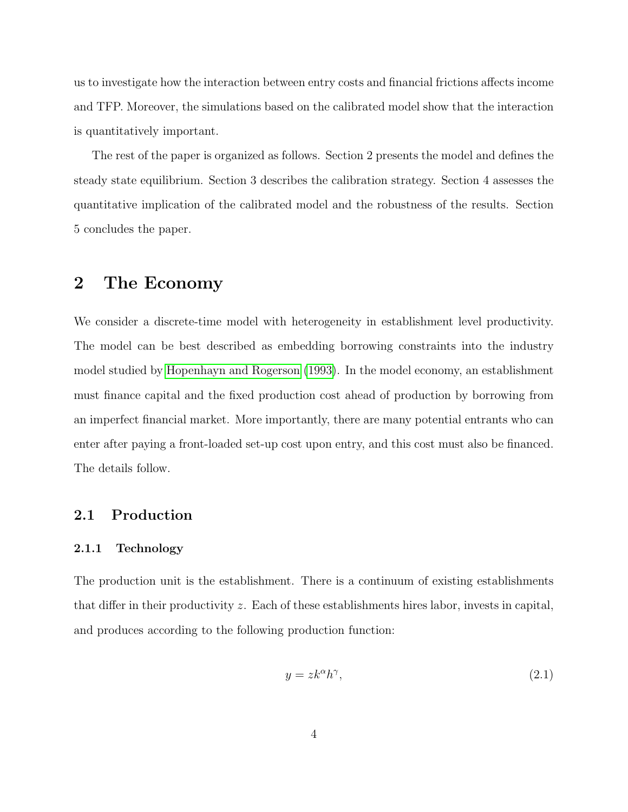us to investigate how the interaction between entry costs and financial frictions affects income and TFP. Moreover, the simulations based on the calibrated model show that the interaction is quantitatively important.

The rest of the paper is organized as follows. Section 2 presents the model and defines the steady state equilibrium. Section 3 describes the calibration strategy. Section 4 assesses the quantitative implication of the calibrated model and the robustness of the results. Section 5 concludes the paper.

# 2 The Economy

We consider a discrete-time model with heterogeneity in establishment level productivity. The model can be best described as embedding borrowing constraints into the industry model studied by [Hopenhayn and Rogerson](#page-26-3) [\(1993\)](#page-26-3). In the model economy, an establishment must finance capital and the fixed production cost ahead of production by borrowing from an imperfect financial market. More importantly, there are many potential entrants who can enter after paying a front-loaded set-up cost upon entry, and this cost must also be financed. The details follow.

### 2.1 Production

#### 2.1.1 Technology

The production unit is the establishment. There is a continuum of existing establishments that differ in their productivity z. Each of these establishments hires labor, invests in capital, and produces according to the following production function:

$$
y = zk^{\alpha}h^{\gamma},\tag{2.1}
$$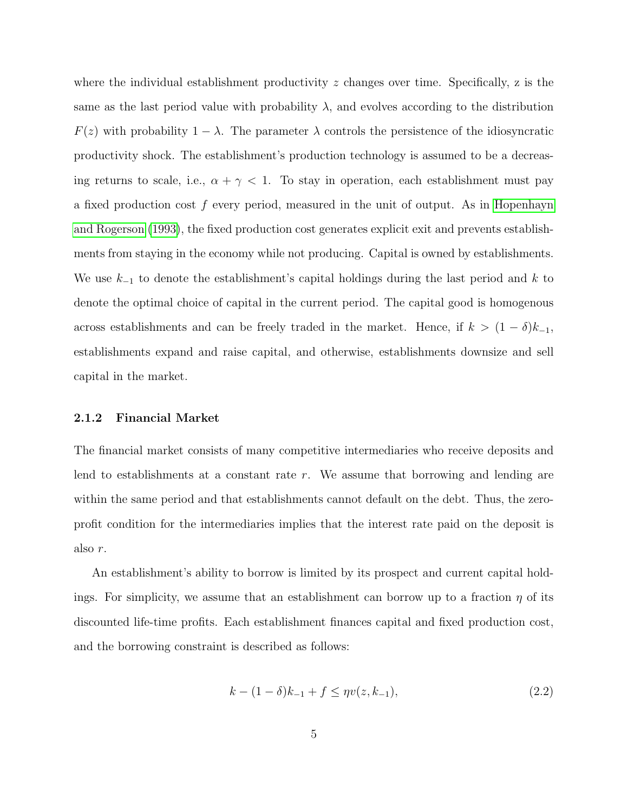where the individual establishment productivity  $z$  changes over time. Specifically,  $z$  is the same as the last period value with probability  $\lambda$ , and evolves according to the distribution  $F(z)$  with probability  $1 - \lambda$ . The parameter  $\lambda$  controls the persistence of the idiosyncratic productivity shock. The establishment's production technology is assumed to be a decreasing returns to scale, i.e.,  $\alpha + \gamma < 1$ . To stay in operation, each establishment must pay a fixed production cost  $f$  every period, measured in the unit of output. As in [Hopenhayn](#page-26-3) [and Rogerson](#page-26-3) [\(1993\)](#page-26-3), the fixed production cost generates explicit exit and prevents establishments from staying in the economy while not producing. Capital is owned by establishments. We use  $k_{-1}$  to denote the establishment's capital holdings during the last period and k to denote the optimal choice of capital in the current period. The capital good is homogenous across establishments and can be freely traded in the market. Hence, if  $k > (1 - \delta)k_{-1}$ , establishments expand and raise capital, and otherwise, establishments downsize and sell capital in the market.

#### 2.1.2 Financial Market

The financial market consists of many competitive intermediaries who receive deposits and lend to establishments at a constant rate r. We assume that borrowing and lending are within the same period and that establishments cannot default on the debt. Thus, the zeroprofit condition for the intermediaries implies that the interest rate paid on the deposit is also r.

An establishment's ability to borrow is limited by its prospect and current capital holdings. For simplicity, we assume that an establishment can borrow up to a fraction  $\eta$  of its discounted life-time profits. Each establishment finances capital and fixed production cost, and the borrowing constraint is described as follows:

<span id="page-5-0"></span>
$$
k - (1 - \delta)k_{-1} + f \le \eta v(z, k_{-1}),\tag{2.2}
$$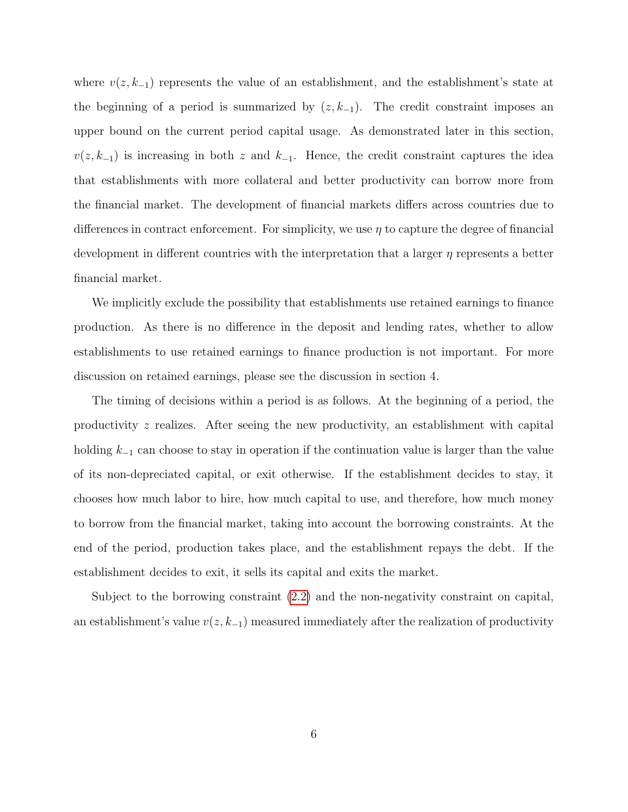where  $v(z, k_{-1})$  represents the value of an establishment, and the establishment's state at the beginning of a period is summarized by  $(z, k_{-1})$ . The credit constraint imposes an upper bound on the current period capital usage. As demonstrated later in this section,  $v(z, k_{-1})$  is increasing in both z and  $k_{-1}$ . Hence, the credit constraint captures the idea that establishments with more collateral and better productivity can borrow more from the financial market. The development of financial markets differs across countries due to differences in contract enforcement. For simplicity, we use  $\eta$  to capture the degree of financial development in different countries with the interpretation that a larger  $\eta$  represents a better financial market.

We implicitly exclude the possibility that establishments use retained earnings to finance production. As there is no difference in the deposit and lending rates, whether to allow establishments to use retained earnings to finance production is not important. For more discussion on retained earnings, please see the discussion in section 4.

The timing of decisions within a period is as follows. At the beginning of a period, the productivity z realizes. After seeing the new productivity, an establishment with capital holding  $k_{-1}$  can choose to stay in operation if the continuation value is larger than the value of its non-depreciated capital, or exit otherwise. If the establishment decides to stay, it chooses how much labor to hire, how much capital to use, and therefore, how much money to borrow from the financial market, taking into account the borrowing constraints. At the end of the period, production takes place, and the establishment repays the debt. If the establishment decides to exit, it sells its capital and exits the market.

Subject to the borrowing constraint [\(2.2\)](#page-5-0) and the non-negativity constraint on capital, an establishment's value  $v(z, k_{-1})$  measured immediately after the realization of productivity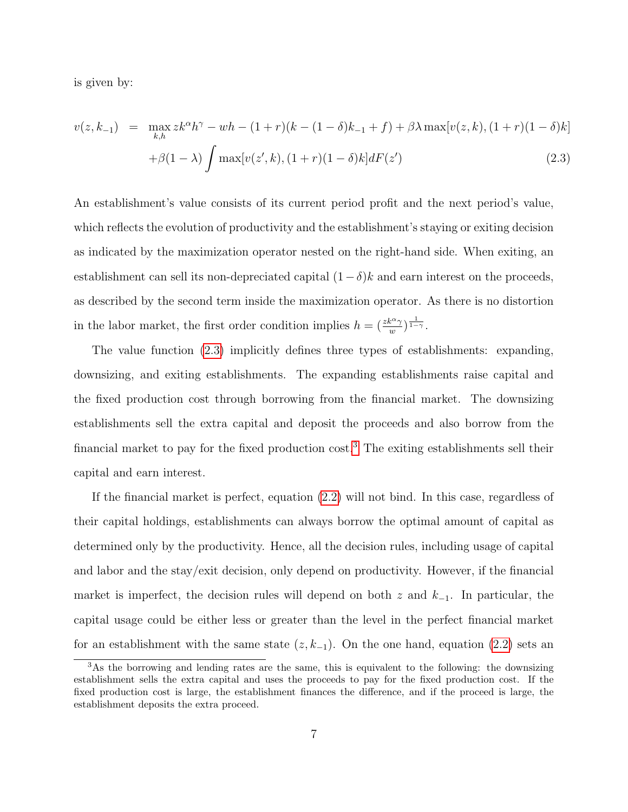is given by:

<span id="page-7-0"></span>
$$
v(z, k_{-1}) = \max_{k,h} z k^{\alpha} h^{\gamma} - wh - (1+r)(k - (1-\delta)k_{-1} + f) + \beta \lambda \max[v(z, k), (1+r)(1-\delta)k]
$$

$$
+ \beta(1-\lambda) \int \max[v(z', k), (1+r)(1-\delta)k] dF(z')
$$
(2.3)

An establishment's value consists of its current period profit and the next period's value, which reflects the evolution of productivity and the establishment's staying or exiting decision as indicated by the maximization operator nested on the right-hand side. When exiting, an establishment can sell its non-depreciated capital  $(1 - \delta)k$  and earn interest on the proceeds, as described by the second term inside the maximization operator. As there is no distortion in the labor market, the first order condition implies  $h = \left(\frac{zk^{\alpha}\gamma}{w}\right)^{\frac{1}{1-\gamma}}$ .

The value function [\(2.3\)](#page-7-0) implicitly defines three types of establishments: expanding, downsizing, and exiting establishments. The expanding establishments raise capital and the fixed production cost through borrowing from the financial market. The downsizing establishments sell the extra capital and deposit the proceeds and also borrow from the financial market to pay for the fixed production  $\cos t$ <sup>[3](#page-7-1)</sup>. The exiting establishments sell their capital and earn interest.

If the financial market is perfect, equation [\(2.2\)](#page-5-0) will not bind. In this case, regardless of their capital holdings, establishments can always borrow the optimal amount of capital as determined only by the productivity. Hence, all the decision rules, including usage of capital and labor and the stay/exit decision, only depend on productivity. However, if the financial market is imperfect, the decision rules will depend on both z and  $k_{-1}$ . In particular, the capital usage could be either less or greater than the level in the perfect financial market for an establishment with the same state  $(z, k_{-1})$ . On the one hand, equation  $(2.2)$  sets an

<span id="page-7-1"></span><sup>&</sup>lt;sup>3</sup>As the borrowing and lending rates are the same, this is equivalent to the following: the downsizing establishment sells the extra capital and uses the proceeds to pay for the fixed production cost. If the fixed production cost is large, the establishment finances the difference, and if the proceed is large, the establishment deposits the extra proceed.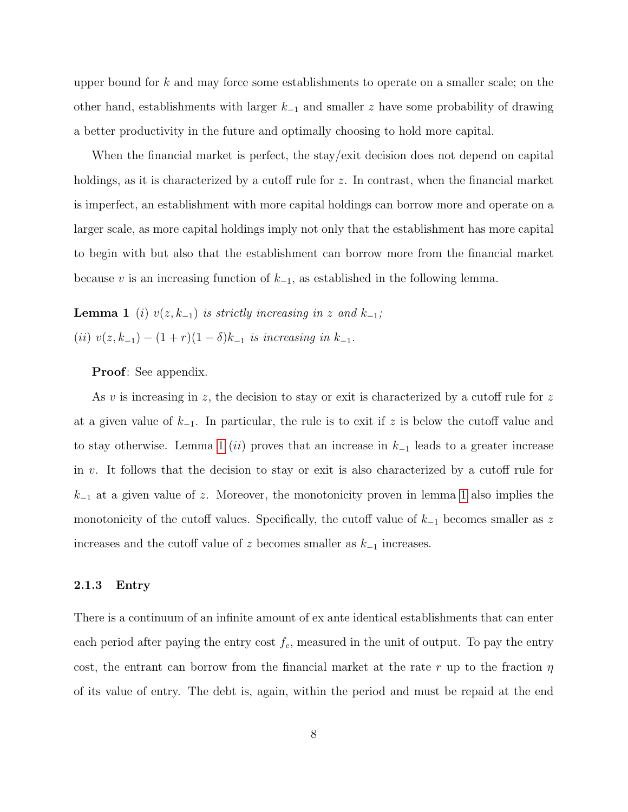upper bound for  $k$  and may force some establishments to operate on a smaller scale; on the other hand, establishments with larger  $k_{-1}$  and smaller z have some probability of drawing a better productivity in the future and optimally choosing to hold more capital.

When the financial market is perfect, the stay/exit decision does not depend on capital holdings, as it is characterized by a cutoff rule for z. In contrast, when the financial market is imperfect, an establishment with more capital holdings can borrow more and operate on a larger scale, as more capital holdings imply not only that the establishment has more capital to begin with but also that the establishment can borrow more from the financial market because v is an increasing function of  $k_{-1}$ , as established in the following lemma.

**Lemma 1** (i)  $v(z, k_{-1})$  is strictly increasing in z and  $k_{-1}$ ; (ii)  $v(z, k_{-1}) - (1+r)(1-\delta)k_{-1}$  is increasing in  $k_{-1}$ .

<span id="page-8-0"></span>Proof: See appendix.

As v is increasing in z, the decision to stay or exit is characterized by a cutoff rule for z at a given value of  $k_{-1}$ . In particular, the rule is to exit if z is below the cutoff value and to stay otherwise. Lemma [1](#page-8-0) (ii) proves that an increase in  $k_{-1}$  leads to a greater increase in v. It follows that the decision to stay or exit is also characterized by a cutoff rule for  $k_{-1}$  at a given value of z. Moreover, the monotonicity proven in lemma [1](#page-8-0) also implies the monotonicity of the cutoff values. Specifically, the cutoff value of  $k_{-1}$  becomes smaller as z increases and the cutoff value of z becomes smaller as  $k_{-1}$  increases.

### 2.1.3 Entry

There is a continuum of an infinite amount of ex ante identical establishments that can enter each period after paying the entry cost  $f_e$ , measured in the unit of output. To pay the entry cost, the entrant can borrow from the financial market at the rate r up to the fraction  $\eta$ of its value of entry. The debt is, again, within the period and must be repaid at the end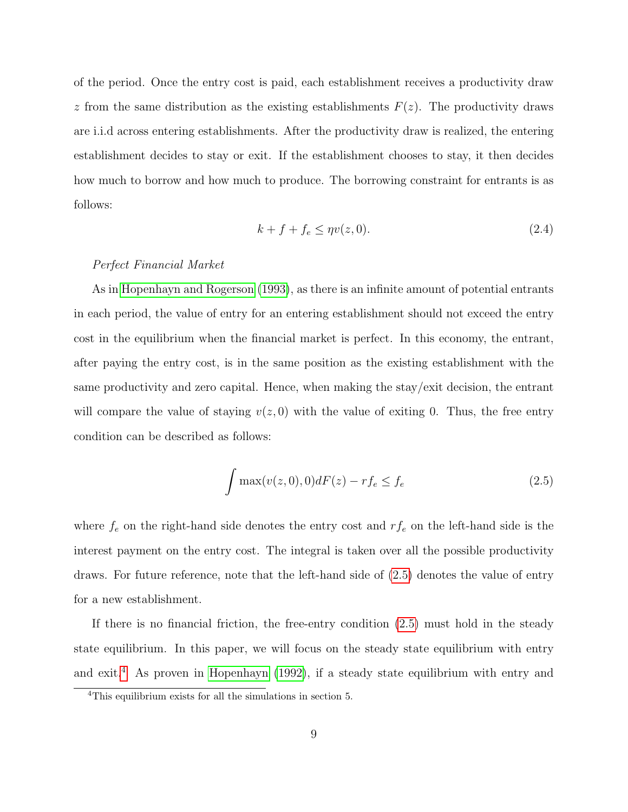of the period. Once the entry cost is paid, each establishment receives a productivity draw z from the same distribution as the existing establishments  $F(z)$ . The productivity draws are i.i.d across entering establishments. After the productivity draw is realized, the entering establishment decides to stay or exit. If the establishment chooses to stay, it then decides how much to borrow and how much to produce. The borrowing constraint for entrants is as follows:

$$
k + f + f_e \le \eta v(z, 0). \tag{2.4}
$$

#### Perfect Financial Market

As in [Hopenhayn and Rogerson](#page-26-3) [\(1993\)](#page-26-3), as there is an infinite amount of potential entrants in each period, the value of entry for an entering establishment should not exceed the entry cost in the equilibrium when the financial market is perfect. In this economy, the entrant, after paying the entry cost, is in the same position as the existing establishment with the same productivity and zero capital. Hence, when making the stay/exit decision, the entrant will compare the value of staying  $v(z, 0)$  with the value of exiting 0. Thus, the free entry condition can be described as follows:

<span id="page-9-0"></span>
$$
\int \max(v(z,0),0)dF(z) - rf_e \le f_e \tag{2.5}
$$

where  $f_e$  on the right-hand side denotes the entry cost and  $rf_e$  on the left-hand side is the interest payment on the entry cost. The integral is taken over all the possible productivity draws. For future reference, note that the left-hand side of [\(2.5\)](#page-9-0) denotes the value of entry for a new establishment.

If there is no financial friction, the free-entry condition [\(2.5\)](#page-9-0) must hold in the steady state equilibrium. In this paper, we will focus on the steady state equilibrium with entry and exit.<sup>[4](#page-9-1)</sup> As proven in [Hopenhayn](#page-26-2) [\(1992\)](#page-26-2), if a steady state equilibrium with entry and

<span id="page-9-1"></span><sup>4</sup>This equilibrium exists for all the simulations in section 5.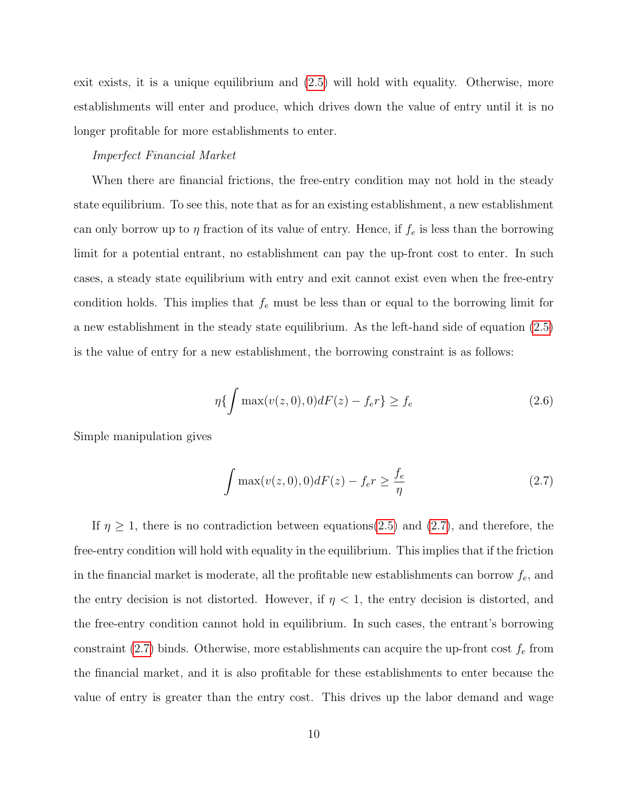exit exists, it is a unique equilibrium and [\(2.5\)](#page-9-0) will hold with equality. Otherwise, more establishments will enter and produce, which drives down the value of entry until it is no longer profitable for more establishments to enter.

#### Imperfect Financial Market

When there are financial frictions, the free-entry condition may not hold in the steady state equilibrium. To see this, note that as for an existing establishment, a new establishment can only borrow up to  $\eta$  fraction of its value of entry. Hence, if  $f_e$  is less than the borrowing limit for a potential entrant, no establishment can pay the up-front cost to enter. In such cases, a steady state equilibrium with entry and exit cannot exist even when the free-entry condition holds. This implies that  $f_e$  must be less than or equal to the borrowing limit for a new establishment in the steady state equilibrium. As the left-hand side of equation [\(2.5\)](#page-9-0) is the value of entry for a new establishment, the borrowing constraint is as follows:

$$
\eta\{\int \max(v(z,0),0)dF(z) - f_e r\} \ge f_e \tag{2.6}
$$

Simple manipulation gives

<span id="page-10-0"></span>
$$
\int \max(v(z,0),0)dF(z) - f_e r \ge \frac{f_e}{\eta}
$$
\n(2.7)

If  $\eta \geq 1$ , there is no contradiction between equations[\(2.5\)](#page-9-0) and [\(2.7\)](#page-10-0), and therefore, the free-entry condition will hold with equality in the equilibrium. This implies that if the friction in the financial market is moderate, all the profitable new establishments can borrow  $f_e$  and the entry decision is not distorted. However, if  $\eta < 1$ , the entry decision is distorted, and the free-entry condition cannot hold in equilibrium. In such cases, the entrant's borrowing constraint [\(2.7\)](#page-10-0) binds. Otherwise, more establishments can acquire the up-front cost  $f_e$  from the financial market, and it is also profitable for these establishments to enter because the value of entry is greater than the entry cost. This drives up the labor demand and wage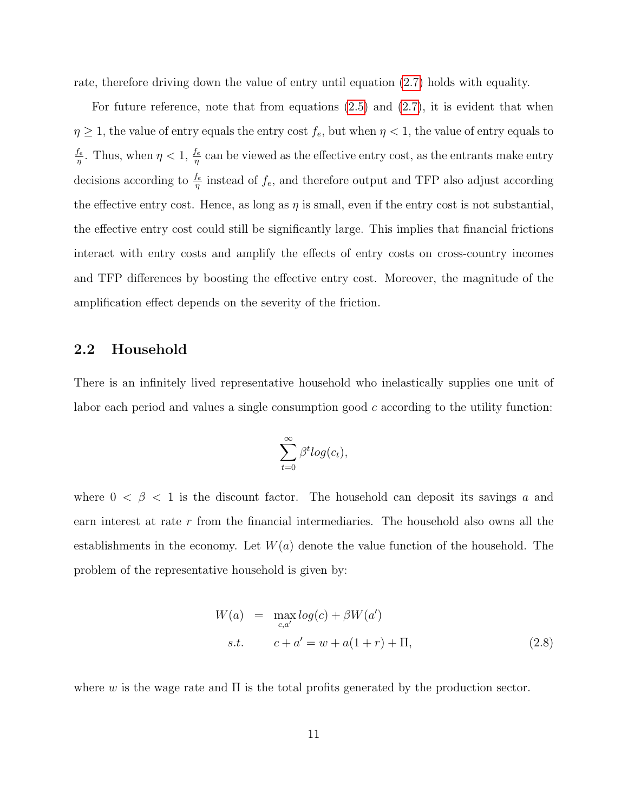rate, therefore driving down the value of entry until equation [\(2.7\)](#page-10-0) holds with equality.

For future reference, note that from equations  $(2.5)$  and  $(2.7)$ , it is evident that when  $\eta \geq 1$ , the value of entry equals the entry cost  $f_e$ , but when  $\eta < 1$ , the value of entry equals to  $f_e$  $\frac{f_e}{\eta}$ . Thus, when  $\eta < 1$ ,  $\frac{f_e}{\eta}$  can be viewed as the effective entry cost, as the entrants make entry decisions according to  $\frac{f_e}{\eta}$  instead of  $f_e$ , and therefore output and TFP also adjust according the effective entry cost. Hence, as long as  $\eta$  is small, even if the entry cost is not substantial, the effective entry cost could still be significantly large. This implies that financial frictions interact with entry costs and amplify the effects of entry costs on cross-country incomes and TFP differences by boosting the effective entry cost. Moreover, the magnitude of the amplification effect depends on the severity of the friction.

### 2.2 Household

There is an infinitely lived representative household who inelastically supplies one unit of labor each period and values a single consumption good  $c$  according to the utility function:

$$
\sum_{t=0}^{\infty} \beta^t log(c_t),
$$

where  $0 < \beta < 1$  is the discount factor. The household can deposit its savings a and earn interest at rate r from the financial intermediaries. The household also owns all the establishments in the economy. Let  $W(a)$  denote the value function of the household. The problem of the representative household is given by:

$$
W(a) = \max_{c,a'} log(c) + \beta W(a')
$$
  
s.t. 
$$
c + a' = w + a(1+r) + \Pi,
$$
 (2.8)

where w is the wage rate and  $\Pi$  is the total profits generated by the production sector.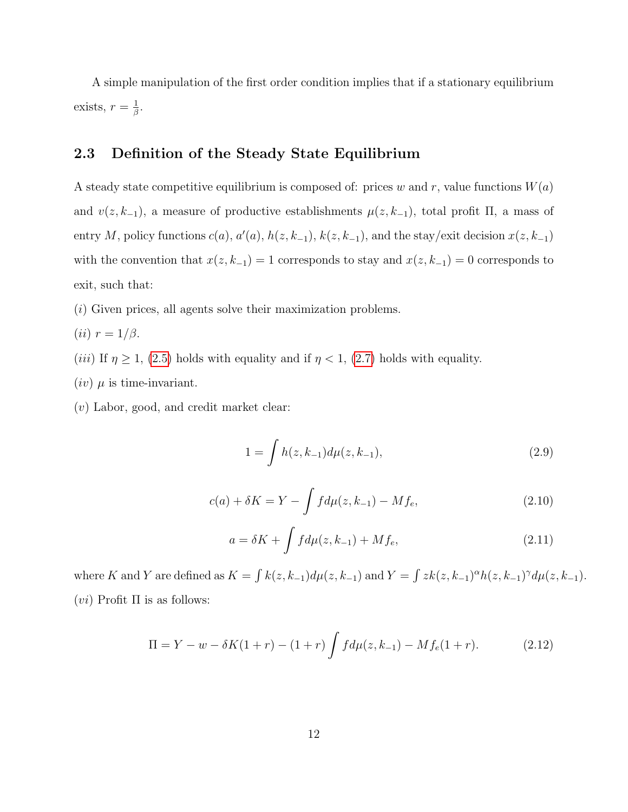A simple manipulation of the first order condition implies that if a stationary equilibrium exists,  $r = \frac{1}{\beta}$  $\frac{1}{\beta}.$ 

### 2.3 Definition of the Steady State Equilibrium

A steady state competitive equilibrium is composed of: prices w and r, value functions  $W(a)$ and  $v(z, k_{-1})$ , a measure of productive establishments  $\mu(z, k_{-1})$ , total profit  $\Pi$ , a mass of entry M, policy functions  $c(a)$ ,  $a'(a)$ ,  $h(z, k_{-1})$ ,  $k(z, k_{-1})$ , and the stay/exit decision  $x(z, k_{-1})$ with the convention that  $x(z, k_{-1}) = 1$  corresponds to stay and  $x(z, k_{-1}) = 0$  corresponds to exit, such that:

(i) Given prices, all agents solve their maximization problems.

- (*ii*)  $r = 1/\beta$ .
- (*iii*) If  $\eta \geq 1$ , [\(2.5\)](#page-9-0) holds with equality and if  $\eta < 1$ , [\(2.7\)](#page-10-0) holds with equality.
- $(iv)$   $\mu$  is time-invariant.
- (v) Labor, good, and credit market clear:

<span id="page-12-0"></span>
$$
1 = \int h(z, k_{-1}) d\mu(z, k_{-1}), \tag{2.9}
$$

<span id="page-12-1"></span>
$$
c(a) + \delta K = Y - \int f d\mu(z, k_{-1}) - M f_e,
$$
\n(2.10)

<span id="page-12-2"></span>
$$
a = \delta K + \int f d\mu(z, k_{-1}) + M f_e,
$$
\n(2.11)

where K and Y are defined as  $K = \int k(z, k_{-1}) d\mu(z, k_{-1})$  and  $Y = \int zk(z, k_{-1})^{\alpha} h(z, k_{-1})^{\gamma} d\mu(z, k_{-1})$ . (*vi*) Profit  $\Pi$  is as follows:

<span id="page-12-3"></span>
$$
\Pi = Y - w - \delta K(1+r) - (1+r) \int f d\mu(z, k_{-1}) - M f_e(1+r). \tag{2.12}
$$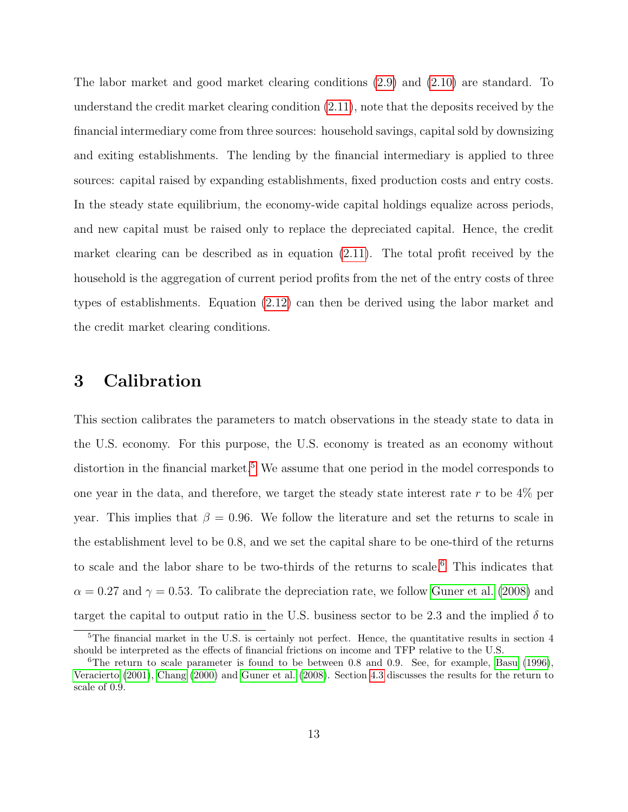The labor market and good market clearing conditions [\(2.9\)](#page-12-0) and [\(2.10\)](#page-12-1) are standard. To understand the credit market clearing condition [\(2.11\)](#page-12-2), note that the deposits received by the financial intermediary come from three sources: household savings, capital sold by downsizing and exiting establishments. The lending by the financial intermediary is applied to three sources: capital raised by expanding establishments, fixed production costs and entry costs. In the steady state equilibrium, the economy-wide capital holdings equalize across periods, and new capital must be raised only to replace the depreciated capital. Hence, the credit market clearing can be described as in equation [\(2.11\)](#page-12-2). The total profit received by the household is the aggregation of current period profits from the net of the entry costs of three types of establishments. Equation [\(2.12\)](#page-12-3) can then be derived using the labor market and the credit market clearing conditions.

# 3 Calibration

This section calibrates the parameters to match observations in the steady state to data in the U.S. economy. For this purpose, the U.S. economy is treated as an economy without distortion in the financial market.<sup>[5](#page-13-0)</sup> We assume that one period in the model corresponds to one year in the data, and therefore, we target the steady state interest rate r to be 4% per year. This implies that  $\beta = 0.96$ . We follow the literature and set the returns to scale in the establishment level to be 0.8, and we set the capital share to be one-third of the returns to scale and the labor share to be two-thirds of the returns to scale.[6](#page-13-1) This indicates that  $\alpha = 0.27$  and  $\gamma = 0.53$ . To calibrate the depreciation rate, we follow [Guner et al.](#page-26-6) [\(2008\)](#page-26-6) and target the capital to output ratio in the U.S. business sector to be 2.3 and the implied  $\delta$  to

<span id="page-13-0"></span><sup>&</sup>lt;sup>5</sup>The financial market in the U.S. is certainly not perfect. Hence, the quantitative results in section 4 should be interpreted as the effects of financial frictions on income and TFP relative to the U.S.

<span id="page-13-1"></span><sup>&</sup>lt;sup>6</sup>The return to scale parameter is found to be between 0.8 and 0.9. See, for example, [Basu](#page-25-8) [\(1996\)](#page-25-8), [Veracierto](#page-27-5) [\(2001\)](#page-27-5), [Chang](#page-25-9) [\(2000\)](#page-25-9) and [Guner et al.](#page-26-6) [\(2008\)](#page-26-6). Section [4.3](#page-21-0) discusses the results for the return to scale of 0.9.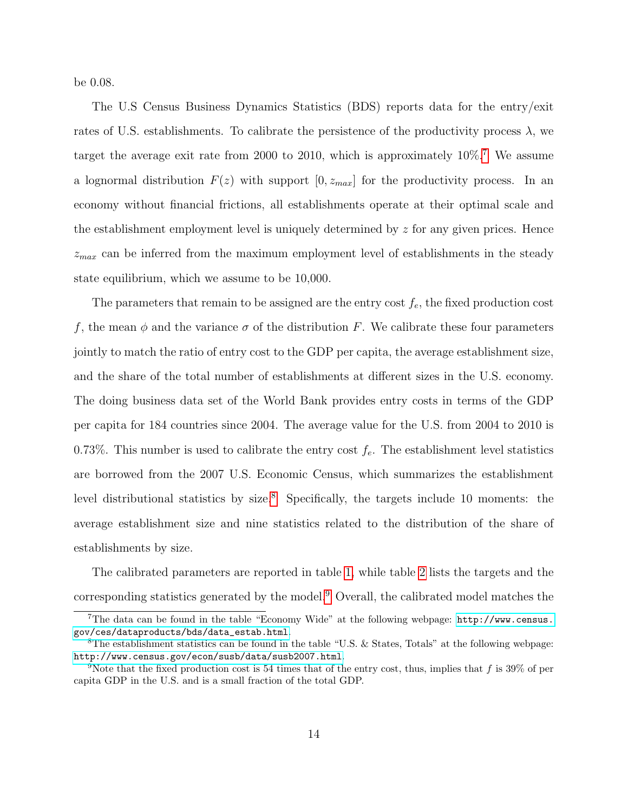be 0.08.

The U.S Census Business Dynamics Statistics (BDS) reports data for the entry/exit rates of U.S. establishments. To calibrate the persistence of the productivity process  $\lambda$ , we target the average exit rate from 2000 to 2010, which is approximately 10%.[7](#page-14-0) We assume a lognormal distribution  $F(z)$  with support  $[0, z_{max}]$  for the productivity process. In an economy without financial frictions, all establishments operate at their optimal scale and the establishment employment level is uniquely determined by  $z$  for any given prices. Hence  $z_{max}$  can be inferred from the maximum employment level of establishments in the steady state equilibrium, which we assume to be 10,000.

The parameters that remain to be assigned are the entry cost  $f_e$ , the fixed production cost f, the mean  $\phi$  and the variance  $\sigma$  of the distribution F. We calibrate these four parameters jointly to match the ratio of entry cost to the GDP per capita, the average establishment size, and the share of the total number of establishments at different sizes in the U.S. economy. The doing business data set of the World Bank provides entry costs in terms of the GDP per capita for 184 countries since 2004. The average value for the U.S. from 2004 to 2010 is 0.73%. This number is used to calibrate the entry cost  $f_e$ . The establishment level statistics are borrowed from the 2007 U.S. Economic Census, which summarizes the establishment level distributional statistics by size.<sup>[8](#page-14-1)</sup> Specifically, the targets include 10 moments: the average establishment size and nine statistics related to the distribution of the share of establishments by size.

The calibrated parameters are reported in table [1,](#page-28-0) while table [2](#page-28-1) lists the targets and the corresponding statistics generated by the model.[9](#page-14-2) Overall, the calibrated model matches the

<span id="page-14-0"></span><sup>7</sup>The data can be found in the table "Economy Wide" at the following webpage: [http://www.census.](http://www.census.gov/ces/dataproducts/bds/data_estab.html) [gov/ces/dataproducts/bds/data\\_estab.html](http://www.census.gov/ces/dataproducts/bds/data_estab.html).

<span id="page-14-1"></span><sup>&</sup>lt;sup>8</sup>The establishment statistics can be found in the table "U.S. & States, Totals" at the following webpage: <http://www.census.gov/econ/susb/data/susb2007.html>.

<span id="page-14-2"></span><sup>&</sup>lt;sup>9</sup>Note that the fixed production cost is 54 times that of the entry cost, thus, implies that f is 39% of per capita GDP in the U.S. and is a small fraction of the total GDP.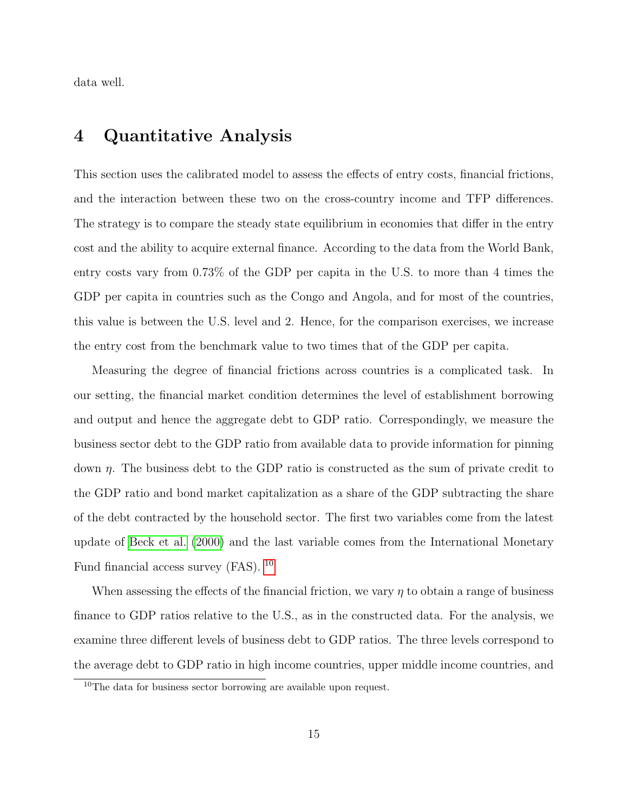data well.

### 4 Quantitative Analysis

This section uses the calibrated model to assess the effects of entry costs, financial frictions, and the interaction between these two on the cross-country income and TFP differences. The strategy is to compare the steady state equilibrium in economies that differ in the entry cost and the ability to acquire external finance. According to the data from the World Bank, entry costs vary from 0.73% of the GDP per capita in the U.S. to more than 4 times the GDP per capita in countries such as the Congo and Angola, and for most of the countries, this value is between the U.S. level and 2. Hence, for the comparison exercises, we increase the entry cost from the benchmark value to two times that of the GDP per capita.

Measuring the degree of financial frictions across countries is a complicated task. In our setting, the financial market condition determines the level of establishment borrowing and output and hence the aggregate debt to GDP ratio. Correspondingly, we measure the business sector debt to the GDP ratio from available data to provide information for pinning down  $\eta$ . The business debt to the GDP ratio is constructed as the sum of private credit to the GDP ratio and bond market capitalization as a share of the GDP subtracting the share of the debt contracted by the household sector. The first two variables come from the latest update of [Beck et al.](#page-25-2) [\(2000\)](#page-25-2) and the last variable comes from the International Monetary Fund financial access survey (FAS). <sup>[10](#page-15-0)</sup>

When assessing the effects of the financial friction, we vary  $\eta$  to obtain a range of business finance to GDP ratios relative to the U.S., as in the constructed data. For the analysis, we examine three different levels of business debt to GDP ratios. The three levels correspond to the average debt to GDP ratio in high income countries, upper middle income countries, and

<span id="page-15-0"></span> $10$ The data for business sector borrowing are available upon request.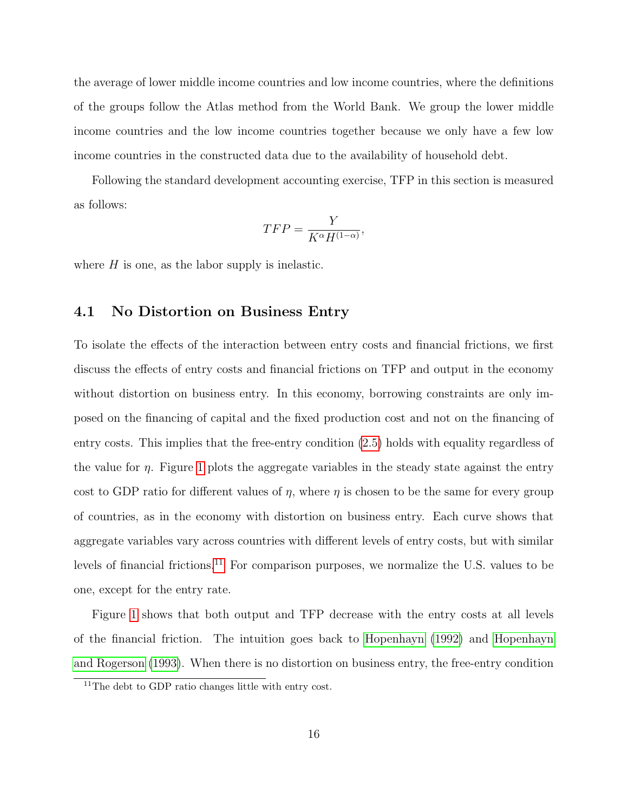the average of lower middle income countries and low income countries, where the definitions of the groups follow the Atlas method from the World Bank. We group the lower middle income countries and the low income countries together because we only have a few low income countries in the constructed data due to the availability of household debt.

Following the standard development accounting exercise, TFP in this section is measured as follows:

$$
TFP = \frac{Y}{K^{\alpha}H^{(1-\alpha)}},
$$

where  $H$  is one, as the labor supply is inelastic.

### 4.1 No Distortion on Business Entry

To isolate the effects of the interaction between entry costs and financial frictions, we first discuss the effects of entry costs and financial frictions on TFP and output in the economy without distortion on business entry. In this economy, borrowing constraints are only imposed on the financing of capital and the fixed production cost and not on the financing of entry costs. This implies that the free-entry condition [\(2.5\)](#page-9-0) holds with equality regardless of the value for  $\eta$ . Figure [1](#page-29-0) plots the aggregate variables in the steady state against the entry cost to GDP ratio for different values of  $\eta$ , where  $\eta$  is chosen to be the same for every group of countries, as in the economy with distortion on business entry. Each curve shows that aggregate variables vary across countries with different levels of entry costs, but with similar levels of financial frictions.<sup>[11](#page-16-0)</sup> For comparison purposes, we normalize the U.S. values to be one, except for the entry rate.

Figure [1](#page-29-0) shows that both output and TFP decrease with the entry costs at all levels of the financial friction. The intuition goes back to [Hopenhayn](#page-26-2) [\(1992\)](#page-26-2) and [Hopenhayn](#page-26-3) [and Rogerson](#page-26-3) [\(1993\)](#page-26-3). When there is no distortion on business entry, the free-entry condition

<span id="page-16-0"></span><sup>&</sup>lt;sup>11</sup>The debt to GDP ratio changes little with entry cost.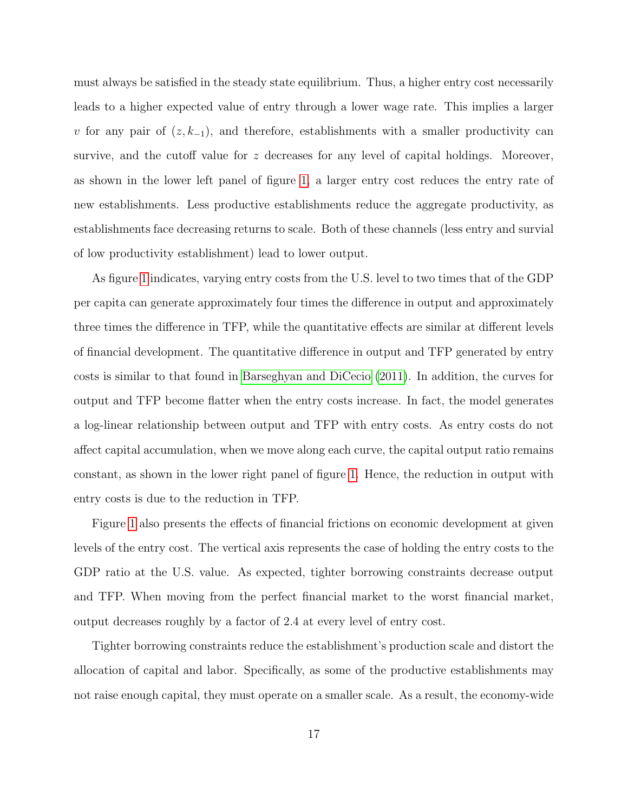must always be satisfied in the steady state equilibrium. Thus, a higher entry cost necessarily leads to a higher expected value of entry through a lower wage rate. This implies a larger v for any pair of  $(z, k_{-1})$ , and therefore, establishments with a smaller productivity can survive, and the cutoff value for  $z$  decreases for any level of capital holdings. Moreover, as shown in the lower left panel of figure [1,](#page-29-0) a larger entry cost reduces the entry rate of new establishments. Less productive establishments reduce the aggregate productivity, as establishments face decreasing returns to scale. Both of these channels (less entry and survial of low productivity establishment) lead to lower output.

As figure [1](#page-29-0) indicates, varying entry costs from the U.S. level to two times that of the GDP per capita can generate approximately four times the difference in output and approximately three times the difference in TFP, while the quantitative effects are similar at different levels of financial development. The quantitative difference in output and TFP generated by entry costs is similar to that found in [Barseghyan and DiCecio](#page-25-4) [\(2011\)](#page-25-4). In addition, the curves for output and TFP become flatter when the entry costs increase. In fact, the model generates a log-linear relationship between output and TFP with entry costs. As entry costs do not affect capital accumulation, when we move along each curve, the capital output ratio remains constant, as shown in the lower right panel of figure [1.](#page-29-0) Hence, the reduction in output with entry costs is due to the reduction in TFP.

Figure [1](#page-29-0) also presents the effects of financial frictions on economic development at given levels of the entry cost. The vertical axis represents the case of holding the entry costs to the GDP ratio at the U.S. value. As expected, tighter borrowing constraints decrease output and TFP. When moving from the perfect financial market to the worst financial market, output decreases roughly by a factor of 2.4 at every level of entry cost.

Tighter borrowing constraints reduce the establishment's production scale and distort the allocation of capital and labor. Specifically, as some of the productive establishments may not raise enough capital, they must operate on a smaller scale. As a result, the economy-wide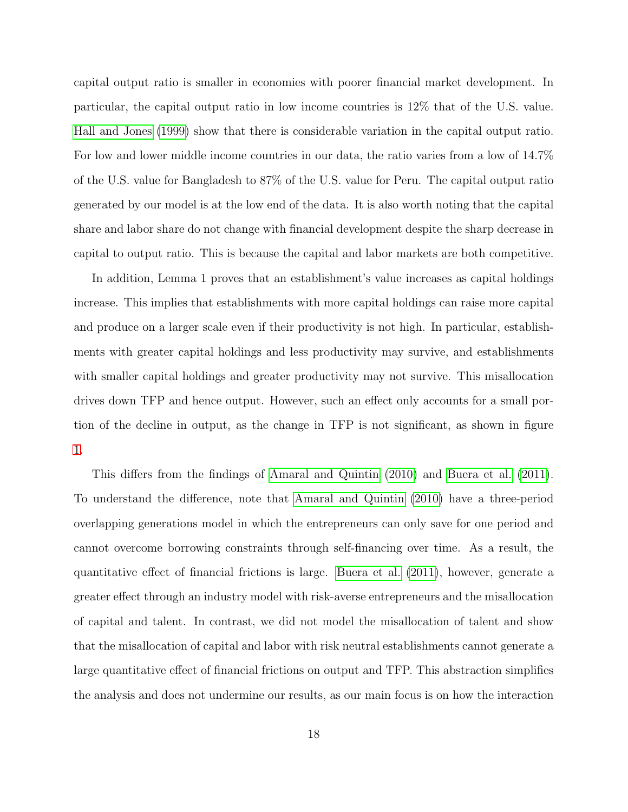capital output ratio is smaller in economies with poorer financial market development. In particular, the capital output ratio in low income countries is 12% that of the U.S. value. [Hall and Jones](#page-26-1) [\(1999\)](#page-26-1) show that there is considerable variation in the capital output ratio. For low and lower middle income countries in our data, the ratio varies from a low of 14.7% of the U.S. value for Bangladesh to 87% of the U.S. value for Peru. The capital output ratio generated by our model is at the low end of the data. It is also worth noting that the capital share and labor share do not change with financial development despite the sharp decrease in capital to output ratio. This is because the capital and labor markets are both competitive.

In addition, Lemma 1 proves that an establishment's value increases as capital holdings increase. This implies that establishments with more capital holdings can raise more capital and produce on a larger scale even if their productivity is not high. In particular, establishments with greater capital holdings and less productivity may survive, and establishments with smaller capital holdings and greater productivity may not survive. This misallocation drives down TFP and hence output. However, such an effect only accounts for a small portion of the decline in output, as the change in TFP is not significant, as shown in figure [1.](#page-29-0)

This differs from the findings of [Amaral and Quintin](#page-25-5) [\(2010\)](#page-25-5) and [Buera et al.](#page-25-6) [\(2011\)](#page-25-6). To understand the difference, note that [Amaral and Quintin](#page-25-5) [\(2010\)](#page-25-5) have a three-period overlapping generations model in which the entrepreneurs can only save for one period and cannot overcome borrowing constraints through self-financing over time. As a result, the quantitative effect of financial frictions is large. [Buera et al.](#page-25-6) [\(2011\)](#page-25-6), however, generate a greater effect through an industry model with risk-averse entrepreneurs and the misallocation of capital and talent. In contrast, we did not model the misallocation of talent and show that the misallocation of capital and labor with risk neutral establishments cannot generate a large quantitative effect of financial frictions on output and TFP. This abstraction simplifies the analysis and does not undermine our results, as our main focus is on how the interaction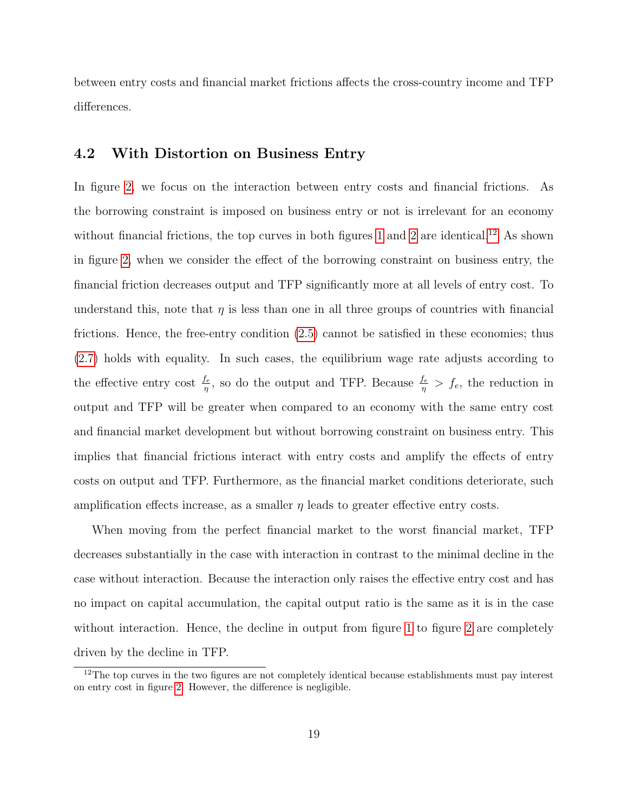between entry costs and financial market frictions affects the cross-country income and TFP differences.

### 4.2 With Distortion on Business Entry

In figure [2,](#page-30-0) we focus on the interaction between entry costs and financial frictions. As the borrowing constraint is imposed on business entry or not is irrelevant for an economy without financial frictions, the top curves in both figures [1](#page-29-0) and [2](#page-30-0) are identical.<sup>[12](#page-19-0)</sup> As shown in figure [2,](#page-30-0) when we consider the effect of the borrowing constraint on business entry, the financial friction decreases output and TFP significantly more at all levels of entry cost. To understand this, note that  $\eta$  is less than one in all three groups of countries with financial frictions. Hence, the free-entry condition [\(2.5\)](#page-9-0) cannot be satisfied in these economies; thus [\(2.7\)](#page-10-0) holds with equality. In such cases, the equilibrium wage rate adjusts according to the effective entry cost  $\frac{f_e}{\eta}$ , so do the output and TFP. Because  $\frac{f_e}{\eta} > f_e$ , the reduction in output and TFP will be greater when compared to an economy with the same entry cost and financial market development but without borrowing constraint on business entry. This implies that financial frictions interact with entry costs and amplify the effects of entry costs on output and TFP. Furthermore, as the financial market conditions deteriorate, such amplification effects increase, as a smaller  $\eta$  leads to greater effective entry costs.

When moving from the perfect financial market to the worst financial market, TFP decreases substantially in the case with interaction in contrast to the minimal decline in the case without interaction. Because the interaction only raises the effective entry cost and has no impact on capital accumulation, the capital output ratio is the same as it is in the case without interaction. Hence, the decline in output from figure [1](#page-29-0) to figure [2](#page-30-0) are completely driven by the decline in TFP.

<span id="page-19-0"></span><sup>&</sup>lt;sup>12</sup>The top curves in the two figures are not completely identical because establishments must pay interest on entry cost in figure [2.](#page-30-0) However, the difference is negligible.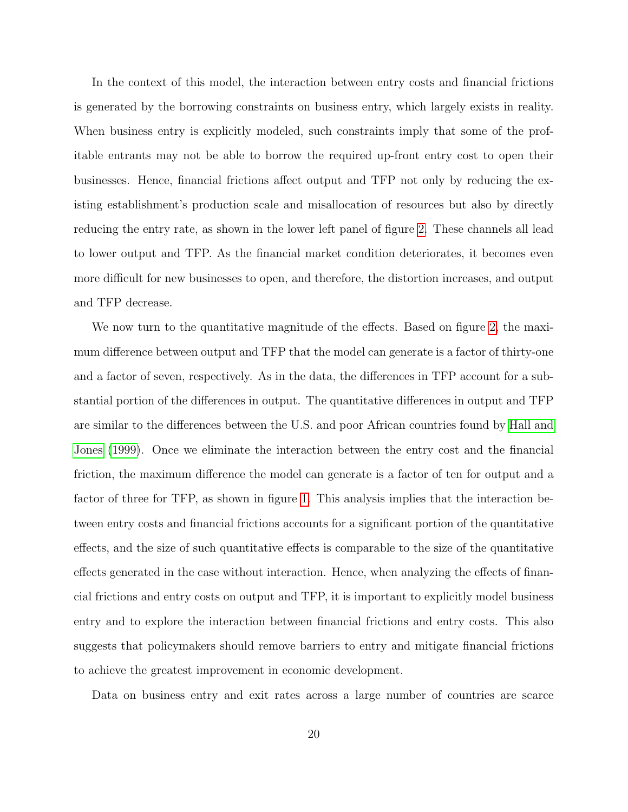In the context of this model, the interaction between entry costs and financial frictions is generated by the borrowing constraints on business entry, which largely exists in reality. When business entry is explicitly modeled, such constraints imply that some of the profitable entrants may not be able to borrow the required up-front entry cost to open their businesses. Hence, financial frictions affect output and TFP not only by reducing the existing establishment's production scale and misallocation of resources but also by directly reducing the entry rate, as shown in the lower left panel of figure [2.](#page-30-0) These channels all lead to lower output and TFP. As the financial market condition deteriorates, it becomes even more difficult for new businesses to open, and therefore, the distortion increases, and output and TFP decrease.

We now turn to the quantitative magnitude of the effects. Based on figure [2,](#page-30-0) the maximum difference between output and TFP that the model can generate is a factor of thirty-one and a factor of seven, respectively. As in the data, the differences in TFP account for a substantial portion of the differences in output. The quantitative differences in output and TFP are similar to the differences between the U.S. and poor African countries found by [Hall and](#page-26-1) [Jones](#page-26-1) [\(1999\)](#page-26-1). Once we eliminate the interaction between the entry cost and the financial friction, the maximum difference the model can generate is a factor of ten for output and a factor of three for TFP, as shown in figure [1.](#page-29-0) This analysis implies that the interaction between entry costs and financial frictions accounts for a significant portion of the quantitative effects, and the size of such quantitative effects is comparable to the size of the quantitative effects generated in the case without interaction. Hence, when analyzing the effects of financial frictions and entry costs on output and TFP, it is important to explicitly model business entry and to explore the interaction between financial frictions and entry costs. This also suggests that policymakers should remove barriers to entry and mitigate financial frictions to achieve the greatest improvement in economic development.

Data on business entry and exit rates across a large number of countries are scarce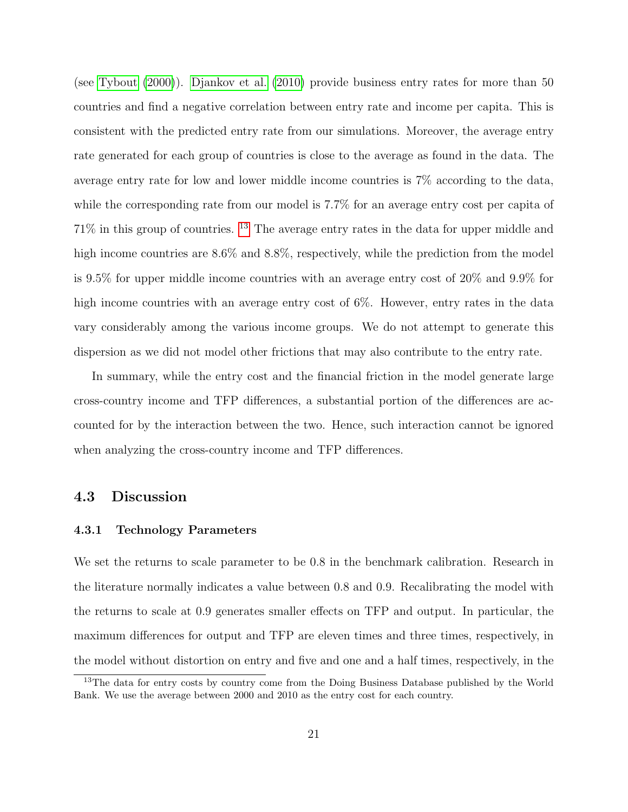(see [Tybout](#page-27-6) [\(2000\)](#page-27-6)). [Djankov et al.](#page-25-10) [\(2010\)](#page-25-10) provide business entry rates for more than 50 countries and find a negative correlation between entry rate and income per capita. This is consistent with the predicted entry rate from our simulations. Moreover, the average entry rate generated for each group of countries is close to the average as found in the data. The average entry rate for low and lower middle income countries is 7% according to the data, while the corresponding rate from our model is 7.7% for an average entry cost per capita of 71% in this group of countries. [13](#page-21-1) The average entry rates in the data for upper middle and high income countries are 8.6% and 8.8%, respectively, while the prediction from the model is 9.5% for upper middle income countries with an average entry cost of 20% and 9.9% for high income countries with an average entry cost of 6%. However, entry rates in the data vary considerably among the various income groups. We do not attempt to generate this dispersion as we did not model other frictions that may also contribute to the entry rate.

In summary, while the entry cost and the financial friction in the model generate large cross-country income and TFP differences, a substantial portion of the differences are accounted for by the interaction between the two. Hence, such interaction cannot be ignored when analyzing the cross-country income and TFP differences.

### <span id="page-21-0"></span>4.3 Discussion

### 4.3.1 Technology Parameters

We set the returns to scale parameter to be 0.8 in the benchmark calibration. Research in the literature normally indicates a value between 0.8 and 0.9. Recalibrating the model with the returns to scale at 0.9 generates smaller effects on TFP and output. In particular, the maximum differences for output and TFP are eleven times and three times, respectively, in the model without distortion on entry and five and one and a half times, respectively, in the

<span id="page-21-1"></span><sup>&</sup>lt;sup>13</sup>The data for entry costs by country come from the Doing Business Database published by the World Bank. We use the average between 2000 and 2010 as the entry cost for each country.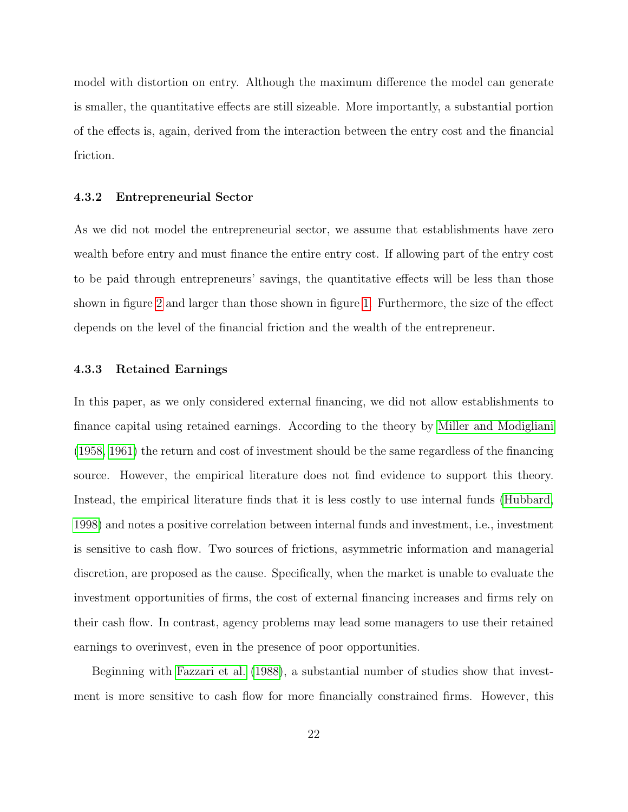model with distortion on entry. Although the maximum difference the model can generate is smaller, the quantitative effects are still sizeable. More importantly, a substantial portion of the effects is, again, derived from the interaction between the entry cost and the financial friction.

#### 4.3.2 Entrepreneurial Sector

As we did not model the entrepreneurial sector, we assume that establishments have zero wealth before entry and must finance the entire entry cost. If allowing part of the entry cost to be paid through entrepreneurs' savings, the quantitative effects will be less than those shown in figure [2](#page-30-0) and larger than those shown in figure [1.](#page-29-0) Furthermore, the size of the effect depends on the level of the financial friction and the wealth of the entrepreneur.

#### 4.3.3 Retained Earnings

In this paper, as we only considered external financing, we did not allow establishments to finance capital using retained earnings. According to the theory by [Miller and Modigliani](#page-26-7) [\(1958,](#page-26-7) [1961\)](#page-27-7) the return and cost of investment should be the same regardless of the financing source. However, the empirical literature does not find evidence to support this theory. Instead, the empirical literature finds that it is less costly to use internal funds [\(Hubbard,](#page-26-8) [1998\)](#page-26-8) and notes a positive correlation between internal funds and investment, i.e., investment is sensitive to cash flow. Two sources of frictions, asymmetric information and managerial discretion, are proposed as the cause. Specifically, when the market is unable to evaluate the investment opportunities of firms, the cost of external financing increases and firms rely on their cash flow. In contrast, agency problems may lead some managers to use their retained earnings to overinvest, even in the presence of poor opportunities.

Beginning with [Fazzari et al.](#page-26-9) [\(1988\)](#page-26-9), a substantial number of studies show that investment is more sensitive to cash flow for more financially constrained firms. However, this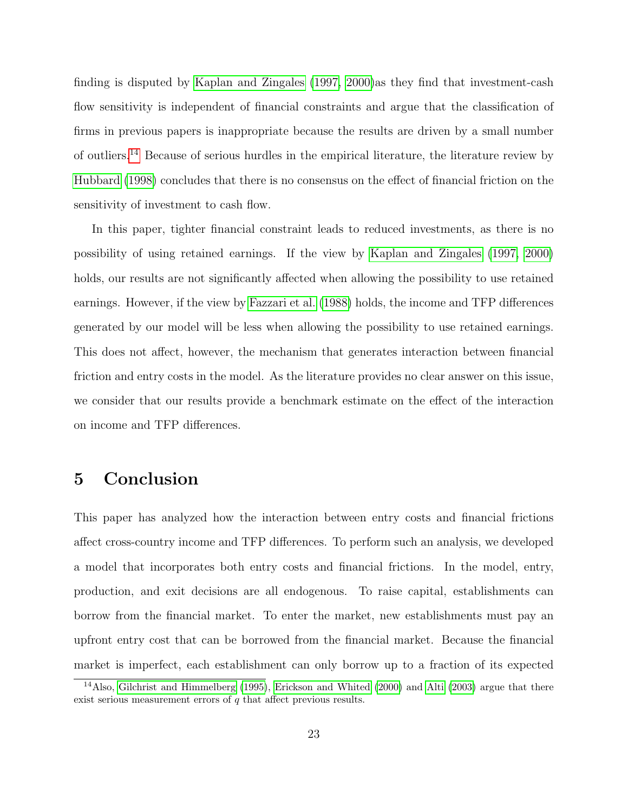finding is disputed by [Kaplan and Zingales](#page-26-10) [\(1997,](#page-26-10) [2000\)](#page-26-11)as they find that investment-cash flow sensitivity is independent of financial constraints and argue that the classification of firms in previous papers is inappropriate because the results are driven by a small number of outliers.[14](#page-23-0) Because of serious hurdles in the empirical literature, the literature review by [Hubbard](#page-26-8) [\(1998\)](#page-26-8) concludes that there is no consensus on the effect of financial friction on the sensitivity of investment to cash flow.

In this paper, tighter financial constraint leads to reduced investments, as there is no possibility of using retained earnings. If the view by [Kaplan and Zingales](#page-26-10) [\(1997,](#page-26-10) [2000\)](#page-26-11) holds, our results are not significantly affected when allowing the possibility to use retained earnings. However, if the view by [Fazzari et al.](#page-26-9) [\(1988\)](#page-26-9) holds, the income and TFP differences generated by our model will be less when allowing the possibility to use retained earnings. This does not affect, however, the mechanism that generates interaction between financial friction and entry costs in the model. As the literature provides no clear answer on this issue, we consider that our results provide a benchmark estimate on the effect of the interaction on income and TFP differences.

# 5 Conclusion

This paper has analyzed how the interaction between entry costs and financial frictions affect cross-country income and TFP differences. To perform such an analysis, we developed a model that incorporates both entry costs and financial frictions. In the model, entry, production, and exit decisions are all endogenous. To raise capital, establishments can borrow from the financial market. To enter the market, new establishments must pay an upfront entry cost that can be borrowed from the financial market. Because the financial market is imperfect, each establishment can only borrow up to a fraction of its expected

<span id="page-23-0"></span><sup>14</sup>Also, [Gilchrist and Himmelberg](#page-26-12) [\(1995\)](#page-26-12), [Erickson and Whited](#page-25-11) [\(2000\)](#page-25-11) and [Alti](#page-25-12) [\(2003\)](#page-25-12) argue that there exist serious measurement errors of  $q$  that affect previous results.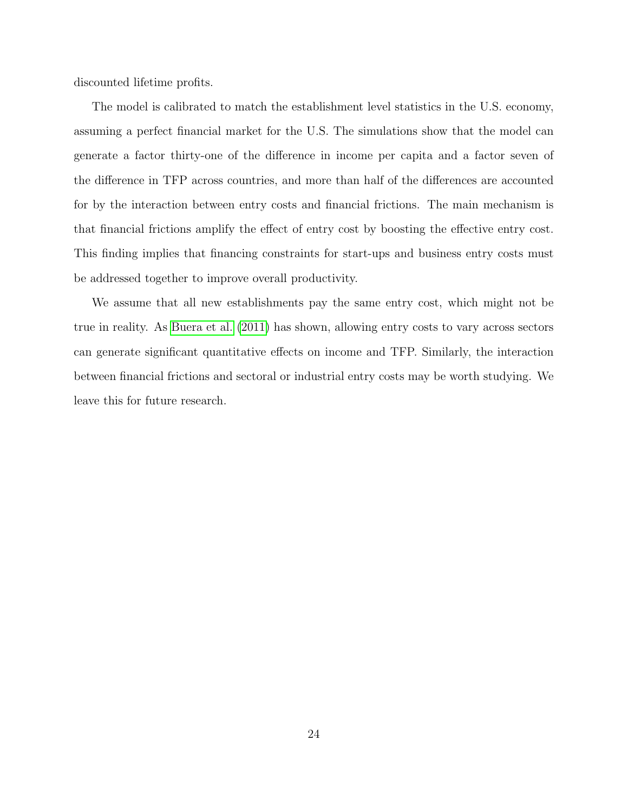discounted lifetime profits.

The model is calibrated to match the establishment level statistics in the U.S. economy, assuming a perfect financial market for the U.S. The simulations show that the model can generate a factor thirty-one of the difference in income per capita and a factor seven of the difference in TFP across countries, and more than half of the differences are accounted for by the interaction between entry costs and financial frictions. The main mechanism is that financial frictions amplify the effect of entry cost by boosting the effective entry cost. This finding implies that financing constraints for start-ups and business entry costs must be addressed together to improve overall productivity.

We assume that all new establishments pay the same entry cost, which might not be true in reality. As [Buera et al.](#page-25-6) [\(2011\)](#page-25-6) has shown, allowing entry costs to vary across sectors can generate significant quantitative effects on income and TFP. Similarly, the interaction between financial frictions and sectoral or industrial entry costs may be worth studying. We leave this for future research.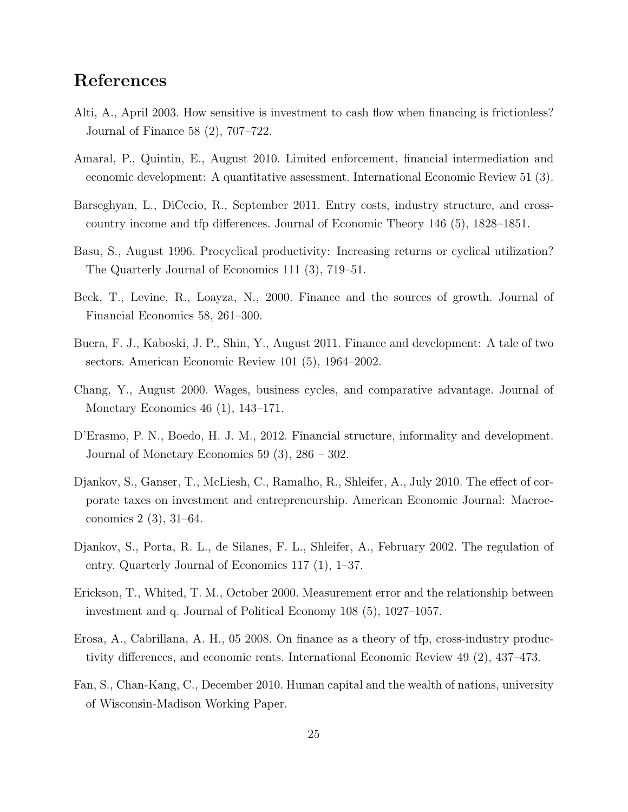# References

- <span id="page-25-12"></span>Alti, A., April 2003. How sensitive is investment to cash flow when financing is frictionless? Journal of Finance 58 (2), 707–722.
- <span id="page-25-5"></span>Amaral, P., Quintin, E., August 2010. Limited enforcement, financial intermediation and economic development: A quantitative assessment. International Economic Review 51 (3).
- <span id="page-25-4"></span>Barseghyan, L., DiCecio, R., September 2011. Entry costs, industry structure, and crosscountry income and tfp differences. Journal of Economic Theory 146 (5), 1828–1851.
- <span id="page-25-8"></span>Basu, S., August 1996. Procyclical productivity: Increasing returns or cyclical utilization? The Quarterly Journal of Economics 111 (3), 719–51.
- <span id="page-25-2"></span>Beck, T., Levine, R., Loayza, N., 2000. Finance and the sources of growth. Journal of Financial Economics 58, 261–300.
- <span id="page-25-6"></span>Buera, F. J., Kaboski, J. P., Shin, Y., August 2011. Finance and development: A tale of two sectors. American Economic Review 101 (5), 1964–2002.
- <span id="page-25-9"></span>Chang, Y., August 2000. Wages, business cycles, and comparative advantage. Journal of Monetary Economics 46 (1), 143–171.
- <span id="page-25-7"></span>D'Erasmo, P. N., Boedo, H. J. M., 2012. Financial structure, informality and development. Journal of Monetary Economics 59 (3), 286 – 302.
- <span id="page-25-10"></span>Djankov, S., Ganser, T., McLiesh, C., Ramalho, R., Shleifer, A., July 2010. The effect of corporate taxes on investment and entrepreneurship. American Economic Journal: Macroeconomics 2 (3), 31–64.
- <span id="page-25-1"></span>Djankov, S., Porta, R. L., de Silanes, F. L., Shleifer, A., February 2002. The regulation of entry. Quarterly Journal of Economics 117 (1), 1–37.
- <span id="page-25-11"></span>Erickson, T., Whited, T. M., October 2000. Measurement error and the relationship between investment and q. Journal of Political Economy 108 (5), 1027–1057.
- <span id="page-25-3"></span>Erosa, A., Cabrillana, A. H., 05 2008. On finance as a theory of tfp, cross-industry productivity differences, and economic rents. International Economic Review 49 (2), 437–473.
- <span id="page-25-0"></span>Fan, S., Chan-Kang, C., December 2010. Human capital and the wealth of nations, university of Wisconsin-Madison Working Paper.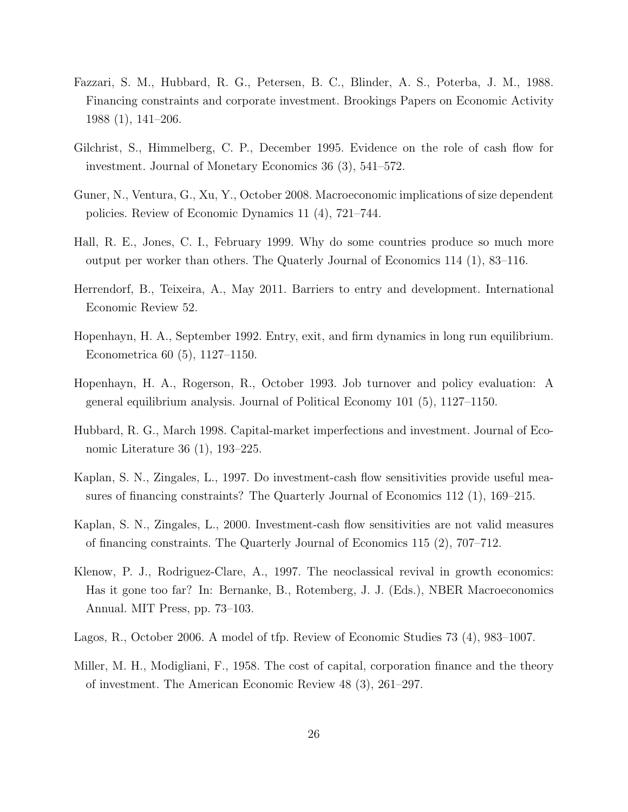- <span id="page-26-9"></span>Fazzari, S. M., Hubbard, R. G., Petersen, B. C., Blinder, A. S., Poterba, J. M., 1988. Financing constraints and corporate investment. Brookings Papers on Economic Activity 1988 (1), 141–206.
- <span id="page-26-12"></span>Gilchrist, S., Himmelberg, C. P., December 1995. Evidence on the role of cash flow for investment. Journal of Monetary Economics 36 (3), 541–572.
- <span id="page-26-6"></span>Guner, N., Ventura, G., Xu, Y., October 2008. Macroeconomic implications of size dependent policies. Review of Economic Dynamics 11 (4), 721–744.
- <span id="page-26-1"></span>Hall, R. E., Jones, C. I., February 1999. Why do some countries produce so much more output per worker than others. The Quaterly Journal of Economics 114 (1), 83–116.
- <span id="page-26-4"></span>Herrendorf, B., Teixeira, A., May 2011. Barriers to entry and development. International Economic Review 52.
- <span id="page-26-2"></span>Hopenhayn, H. A., September 1992. Entry, exit, and firm dynamics in long run equilibrium. Econometrica 60 (5), 1127–1150.
- <span id="page-26-3"></span>Hopenhayn, H. A., Rogerson, R., October 1993. Job turnover and policy evaluation: A general equilibrium analysis. Journal of Political Economy 101 (5), 1127–1150.
- <span id="page-26-8"></span>Hubbard, R. G., March 1998. Capital-market imperfections and investment. Journal of Economic Literature 36 (1), 193–225.
- <span id="page-26-10"></span>Kaplan, S. N., Zingales, L., 1997. Do investment-cash flow sensitivities provide useful measures of financing constraints? The Quarterly Journal of Economics 112 (1), 169–215.
- <span id="page-26-11"></span>Kaplan, S. N., Zingales, L., 2000. Investment-cash flow sensitivities are not valid measures of financing constraints. The Quarterly Journal of Economics 115 (2), 707–712.
- <span id="page-26-0"></span>Klenow, P. J., Rodriguez-Clare, A., 1997. The neoclassical revival in growth economics: Has it gone too far? In: Bernanke, B., Rotemberg, J. J. (Eds.), NBER Macroeconomics Annual. MIT Press, pp. 73–103.
- <span id="page-26-5"></span>Lagos, R., October 2006. A model of tfp. Review of Economic Studies 73 (4), 983–1007.
- <span id="page-26-7"></span>Miller, M. H., Modigliani, F., 1958. The cost of capital, corporation finance and the theory of investment. The American Economic Review 48 (3), 261–297.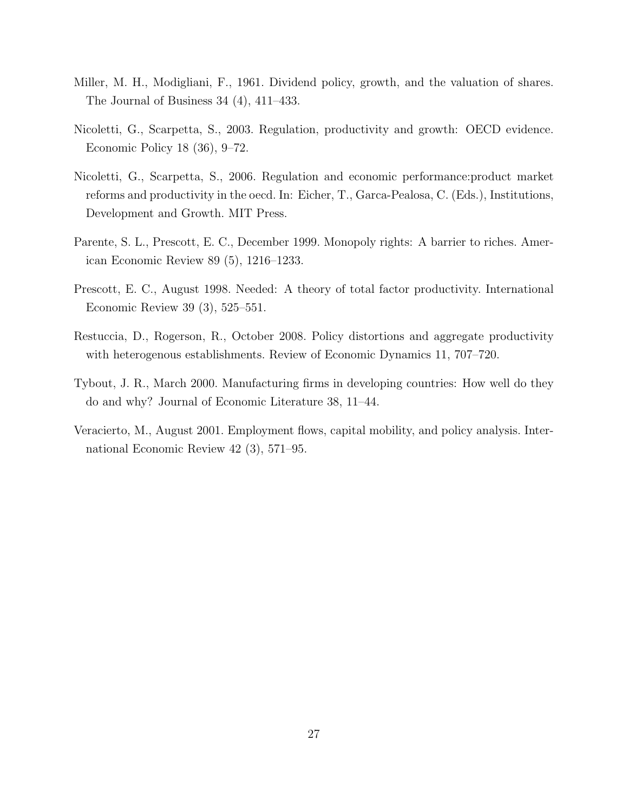- <span id="page-27-7"></span>Miller, M. H., Modigliani, F., 1961. Dividend policy, growth, and the valuation of shares. The Journal of Business 34 (4), 411–433.
- <span id="page-27-1"></span>Nicoletti, G., Scarpetta, S., 2003. Regulation, productivity and growth: OECD evidence. Economic Policy 18 (36), 9–72.
- <span id="page-27-2"></span>Nicoletti, G., Scarpetta, S., 2006. Regulation and economic performance:product market reforms and productivity in the oecd. In: Eicher, T., Garca-Pealosa, C. (Eds.), Institutions, Development and Growth. MIT Press.
- <span id="page-27-3"></span>Parente, S. L., Prescott, E. C., December 1999. Monopoly rights: A barrier to riches. American Economic Review 89 (5), 1216–1233.
- <span id="page-27-0"></span>Prescott, E. C., August 1998. Needed: A theory of total factor productivity. International Economic Review 39 (3), 525–551.
- <span id="page-27-4"></span>Restuccia, D., Rogerson, R., October 2008. Policy distortions and aggregate productivity with heterogenous establishments. Review of Economic Dynamics 11, 707–720.
- <span id="page-27-6"></span>Tybout, J. R., March 2000. Manufacturing firms in developing countries: How well do they do and why? Journal of Economic Literature 38, 11–44.
- <span id="page-27-5"></span>Veracierto, M., August 2001. Employment flows, capital mobility, and policy analysis. International Economic Review 42 (3), 571–95.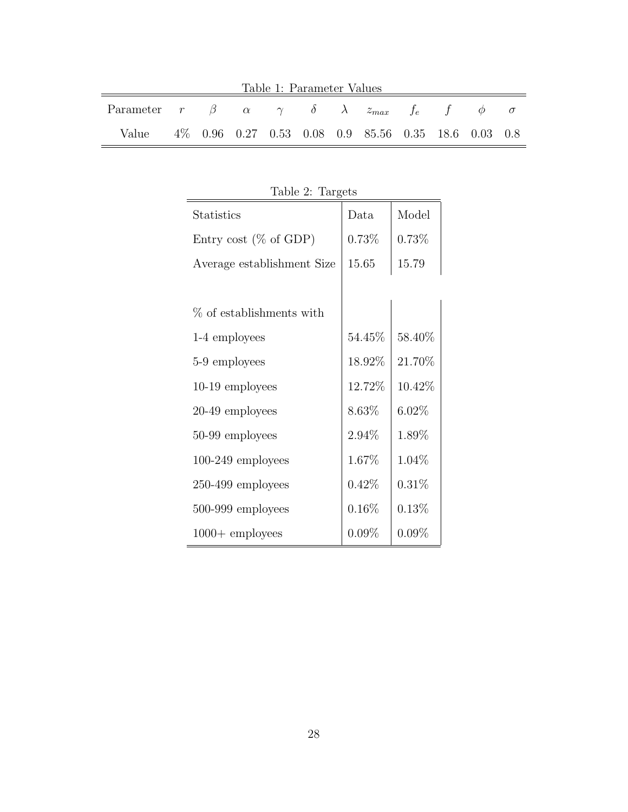| Table 1: Parameter Values                                                  |  |  |  |  |  |  |                                                      |  |  |  |  |
|----------------------------------------------------------------------------|--|--|--|--|--|--|------------------------------------------------------|--|--|--|--|
| Parameter $r \beta \alpha \gamma \delta \lambda z_{max} f_e f \phi \sigma$ |  |  |  |  |  |  |                                                      |  |  |  |  |
| Value                                                                      |  |  |  |  |  |  | 4\% 0.96 0.27 0.53 0.08 0.9 85.56 0.35 18.6 0.03 0.8 |  |  |  |  |

<span id="page-28-1"></span><span id="page-28-0"></span>Table 2: Targets Statistics | Data | Model Entry cost (% of GDP) 0.73% 0.73% Average establishment Size  $\vert$  15.65  $\vert$  15.79  $\%$  of establishments with 1-4 employees  $54.45\%$  58.40% 5-9 employees  $18.92\%$  21.70% 10-19 employees 12.72% 10.42% 20-49 employees  $8.63\%$  6.02% 50-99 employees 2.94% 1.89% 100-249 employees 1.67% 1.04% 250-499 employees  $0.42\%$  0.31% 500-999 employees  $0.16\%$  0.13%  $1000+$  employees  $0.09\%$   $0.09\%$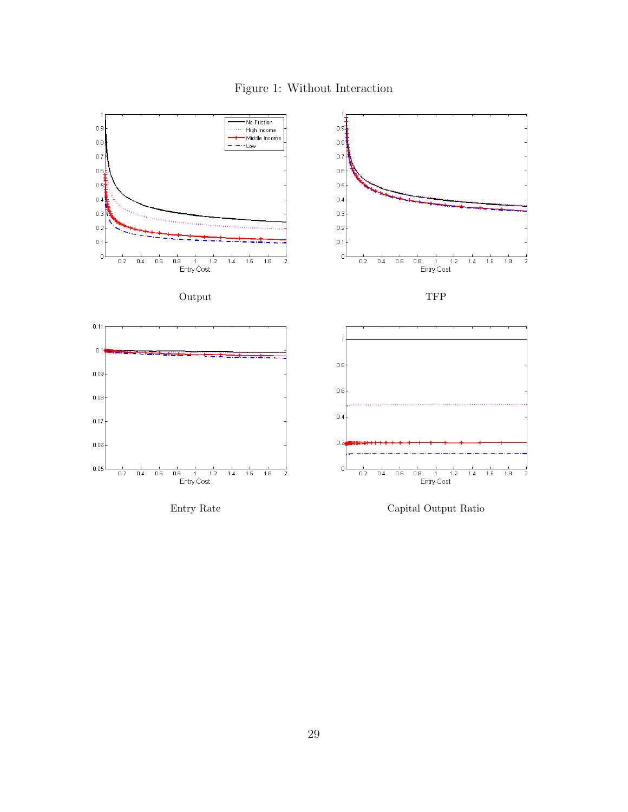<span id="page-29-0"></span>Figure 1: Without Interaction

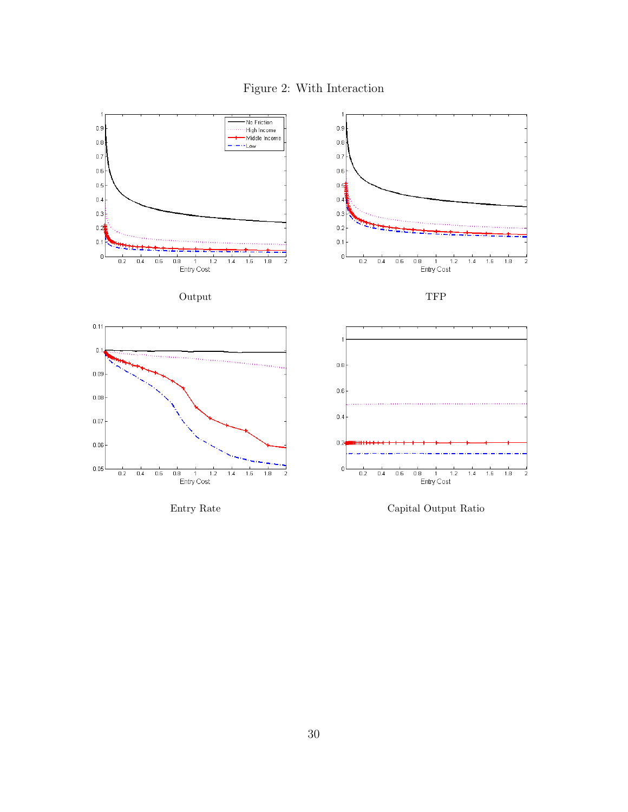Figure 2: With Interaction





<span id="page-30-0"></span>